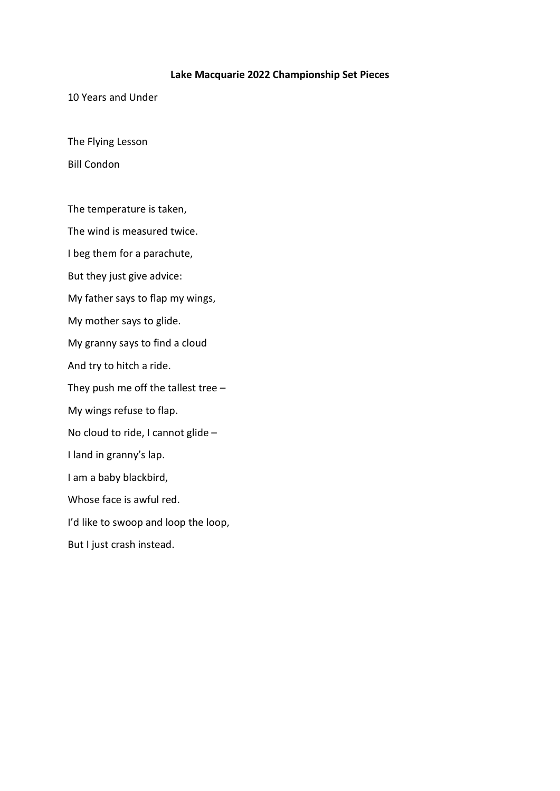# **Lake Macquarie 2022 Championship Set Pieces**

10 Years and Under

The Flying Lesson

Bill Condon

The temperature is taken, The wind is measured twice. I beg them for a parachute, But they just give advice: My father says to flap my wings, My mother says to glide. My granny says to find a cloud And try to hitch a ride. They push me off the tallest tree  $-$ My wings refuse to flap. No cloud to ride, I cannot glide – I land in granny's lap. I am a baby blackbird, Whose face is awful red. I'd like to swoop and loop the loop, But I just crash instead.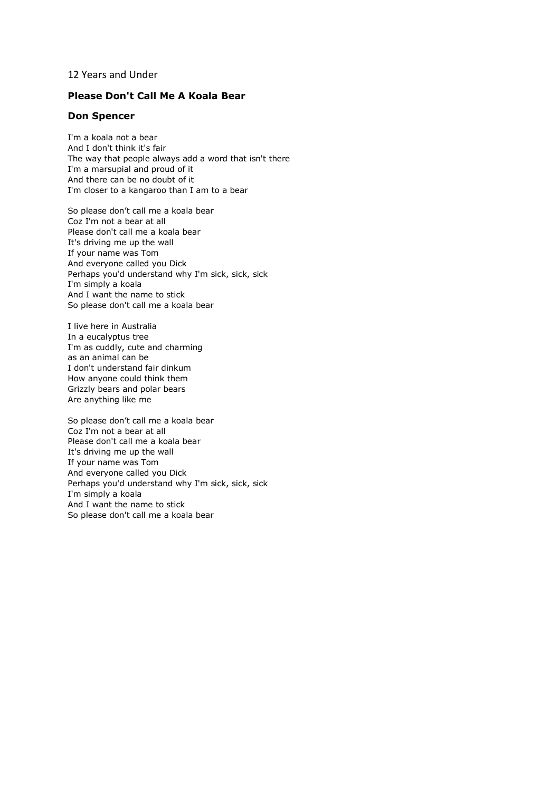## 12 Years and Under

# **Please Don't Call Me A Koala Bear**

### **Don Spencer**

I'm a koala not a bear And I don't think it's fair The way that people always add a word that isn't there I'm a marsupial and proud of it And there can be no doubt of it I'm closer to a kangaroo than I am to a bear

So please don't call me a koala bear Coz I'm not a bear at all Please don't call me a koala bear It's driving me up the wall If your name was Tom And everyone called you Dick Perhaps you'd understand why I'm sick, sick, sick I'm simply a koala And I want the name to stick So please don't call me a koala bear

I live here in Australia In a eucalyptus tree I'm as cuddly, cute and charming as an animal can be I don't understand fair dinkum How anyone could think them Grizzly bears and polar bears Are anything like me

So please don't call me a koala bear Coz I'm not a bear at all Please don't call me a koala bear It's driving me up the wall If your name was Tom And everyone called you Dick Perhaps you'd understand why I'm sick, sick, sick I'm simply a koala And I want the name to stick So please don't call me a koala bear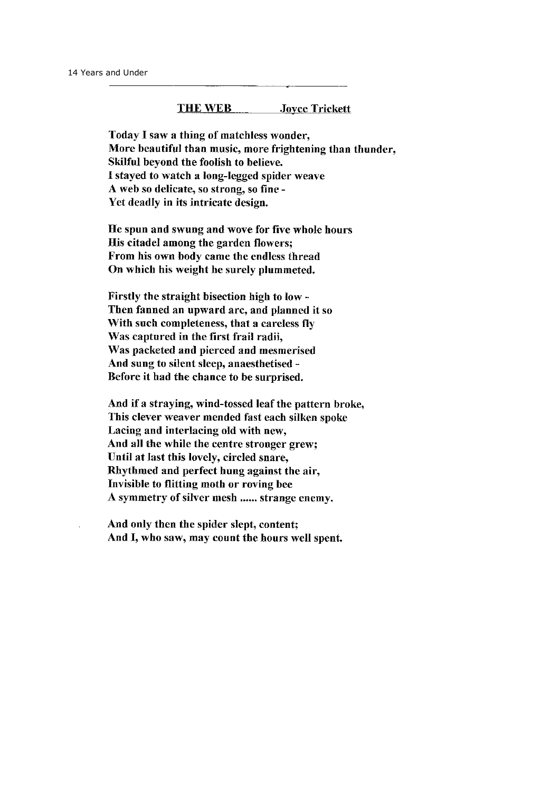#### THE WEB **Jovce Trickett**

Today I saw a thing of matchless wonder, More beautiful than music, more frightening than thunder, Skilful beyond the foolish to believe. I stayed to watch a long-legged spider weave A web so delicate, so strong, so fine -Yet deadly in its intricate design.

He spun and swung and wove for five whole hours His citadel among the garden flowers; From his own body came the endless thread On which his weight he surely plummeted.

Firstly the straight bisection high to low -Then fanned an upward arc, and planned it so With such completeness, that a careless fly Was captured in the first frail radii, Was packeted and pierced and mesmerised And sung to silent sleep, anaesthetised -Before it had the chance to be surprised.

And if a straying, wind-tossed leaf the pattern broke, This clever weaver mended fast each silken spoke Lacing and interlacing old with new, And all the while the centre stronger grew; Until at last this lovely, circled snare, Rhythmed and perfect hung against the air, Invisible to flitting moth or roving bee A symmetry of silver mesh ...... strange enemy.

And only then the spider slept, content; And I, who saw, may count the hours well spent.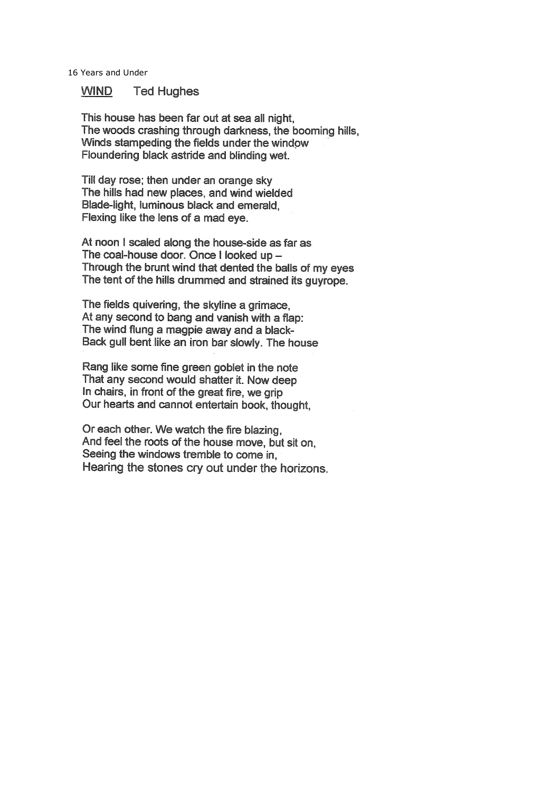16 Years and Under

**WIND Ted Hughes** 

This house has been far out at sea all night, The woods crashing through darkness, the booming hills. Winds stampeding the fields under the window Floundering black astride and blinding wet.

Till day rose; then under an orange sky The hills had new places, and wind wielded Blade-light, luminous black and emerald. Flexing like the lens of a mad eve.

At noon I scaled along the house-side as far as The coal-house door. Once I looked up -Through the brunt wind that dented the balls of my eves The tent of the hills drummed and strained its guyrope.

The fields quivering, the skyline a grimace. At any second to bang and vanish with a flap: The wind flung a magpie away and a black-Back gull bent like an iron bar slowly. The house

Rang like some fine green goblet in the note That any second would shatter it. Now deep In chairs, in front of the great fire, we grip Our hearts and cannot entertain book, thought,

Or each other. We watch the fire blazing, And feel the roots of the house move, but sit on. Seeing the windows tremble to come in, Hearing the stones cry out under the horizons.